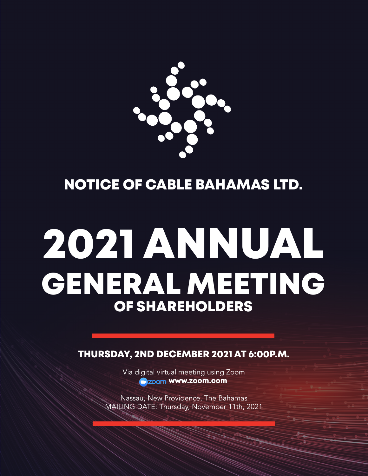

NOTICE OF CABLE BAHAMAS LTD.

# 2021 ANNUAL GENERAL MEETING OF SHAREHOLDERS

THURSDAY, 2ND DECEMBER 2021 AT 6:00P.M.

Via digital virtual meeting using Zoom **m**zoom www.zoom.com

Nassau, New Providence, The Bahamas MAILING DATE: Thursday, November 11th, 2021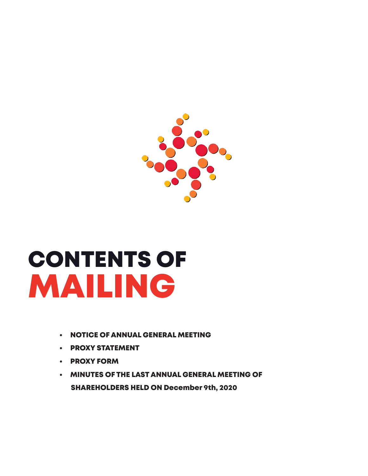

# MAILING CONTENTS OF

- **NOTICE OF ANNUAL GENERAL MEETING**
- • PROXY STATEMENT
- • PROXY FORM
- • MINUTES OF THE LAST ANNUAL GENERAL MEETING OF SHAREHOLDERS HELD ON December 9th, 2020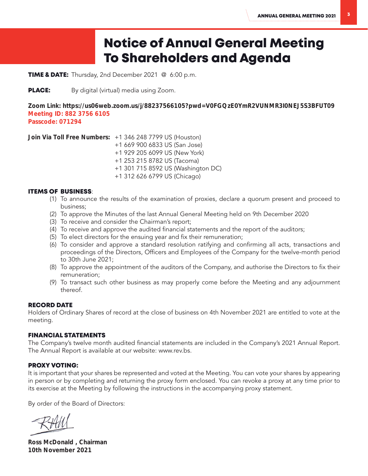# Notice of Annual General Meeting To Shareholders and Agenda

TIME & DATE: Thursday, 2nd December 2021 @ 6:00 p.m.

**PLACE:** By digital (virtual) media using Zoom.

Zoom Link: https://us06web.zoom.us/j/88237566105?pwd=V0FGQzE0YmR2VUNMR3I0NEJ5S3BFUT09 Meeting ID: 882 3756 6105 Passcode: 071294

Join Via Toll Free Numbers: +1 346 248 7799 US (Houston) +1 669 900 6833 US (San Jose) +1 929 205 6099 US (New York) +1 253 215 8782 US (Tacoma) +1 301 715 8592 US (Washington DC) +1 312 626 6799 US (Chicago)

# ITEMS OF BUSINESS:

- (1) To announce the results of the examination of proxies, declare a quorum present and proceed to business;
- (2) To approve the Minutes of the last Annual General Meeting held on 9th December 2020
- (3) To receive and consider the Chairman's report;
- (4) To receive and approve the audited financial statements and the report of the auditors;
- (5) To elect directors for the ensuing year and fix their remuneration;
- (6) To consider and approve a standard resolution ratifying and confirming all acts, transactions and proceedings of the Directors, Officers and Employees of the Company for the twelve-month period to 30th June 2021;
- (8) To approve the appointment of the auditors of the Company, and authorise the Directors to fix their remuneration;
- (9) To transact such other business as may properly come before the Meeting and any adjournment thereof.

# RECORD DATE

Holders of Ordinary Shares of record at the close of business on 4th November 2021 are entitled to vote at the meeting.

# FINANCIAL STATEMENTS

The Company's twelve month audited financial statements are included in the Company's 2021 Annual Report. The Annual Report is available at our website: www.rev.bs.

# PROXY VOTING:

It is important that your shares be represented and voted at the Meeting. You can vote your shares by appearing in person or by completing and returning the proxy form enclosed. You can revoke a proxy at any time prior to its exercise at the Meeting by following the instructions in the accompanying proxy statement.

By order of the Board of Directors:

Ross McDonald , Chairman 10th November 2021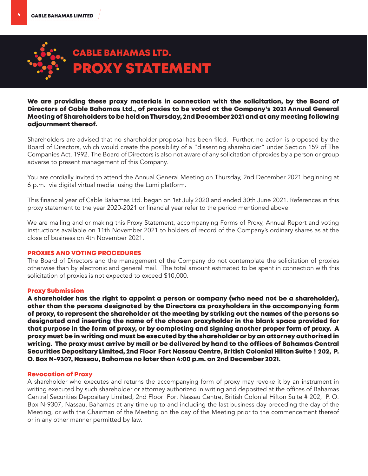

We are providing these proxy materials in connection with the solicitation, by the Board of Directors of Cable Bahamas Ltd., of proxies to be voted at the Company's 2021 Annual General Meeting of Shareholders to be held on Thursday, 2nd December 2021 and at any meeting following adjournment thereof.

Shareholders are advised that no shareholder proposal has been filed. Further, no action is proposed by the Board of Directors, which would create the possibility of a "dissenting shareholder" under Section 159 of The Companies Act, 1992. The Board of Directors is also not aware of any solicitation of proxies by a person or group adverse to present management of this Company.

You are cordially invited to attend the Annual General Meeting on Thursday, 2nd December 2021 beginning at 6 p.m. via digital virtual media using the Lumi platform.

This financial year of Cable Bahamas Ltd. began on 1st July 2020 and ended 30th June 2021. References in this proxy statement to the year 2020-2021 or financial year refer to the period mentioned above.

We are mailing and or making this Proxy Statement, accompanying Forms of Proxy, Annual Report and voting instructions available on 11th November 2021 to holders of record of the Company's ordinary shares as at the close of business on 4th November 2021.

#### PROXIES AND VOTING PROCEDURES

The Board of Directors and the management of the Company do not contemplate the solicitation of proxies otherwise than by electronic and general mail. The total amount estimated to be spent in connection with this solicitation of proxies is not expected to exceed \$10,000.

#### Proxy Submission

A shareholder has the right to appoint a person or company (who need not be a shareholder), other than the persons designated by the Directors as proxyholders in the accompanying form of proxy, to represent the shareholder at the meeting by striking out the names of the persons so designated and inserting the name of the chosen proxyholder in the blank space provided for that purpose in the form of proxy, or by completing and signing another proper form of proxy. A proxy must be in writing and must be executed by the shareholder or by an attorney authorized in writing. The proxy must arrive by mail or be delivered by hand to the offices of Bahamas Central Securities Depositary Limited, 2nd Floor Fort Nassau Centre, British Colonial Hilton Suite # 202, P. O. Box N-9307, Nassau, Bahamas no later than 4:00 p.m. on 2nd December 2021.

#### Revocation of Proxy

A shareholder who executes and returns the accompanying form of proxy may revoke it by an instrument in writing executed by such shareholder or attorney authorized in writing and deposited at the offices of Bahamas Central Securities Depositary Limited, 2nd Floor Fort Nassau Centre, British Colonial Hilton Suite # 202, P. O. Box N-9307, Nassau, Bahamas at any time up to and including the last business day preceding the day of the Meeting, or with the Chairman of the Meeting on the day of the Meeting prior to the commencement thereof or in any other manner permitted by law.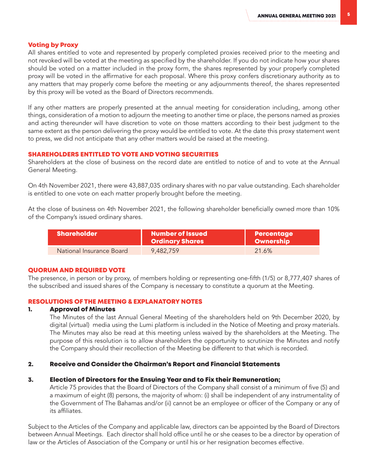# Voting by Proxy

All shares entitled to vote and represented by properly completed proxies received prior to the meeting and not revoked will be voted at the meeting as specified by the shareholder. If you do not indicate how your shares should be voted on a matter included in the proxy form, the shares represented by your properly completed proxy will be voted in the affirmative for each proposal. Where this proxy confers discretionary authority as to any matters that may properly come before the meeting or any adjournments thereof, the shares represented by this proxy will be voted as the Board of Directors recommends.

If any other matters are properly presented at the annual meeting for consideration including, among other things, consideration of a motion to adjourn the meeting to another time or place, the persons named as proxies and acting thereunder will have discretion to vote on those matters according to their best judgment to the same extent as the person delivering the proxy would be entitled to vote. At the date this proxy statement went to press, we did not anticipate that any other matters would be raised at the meeting.

# SHAREHOLDERS ENTITLED TO VOTE AND VOTING SECURITIES

Shareholders at the close of business on the record date are entitled to notice of and to vote at the Annual General Meeting.

On 4th November 2021, there were 43,887,035 ordinary shares with no par value outstanding. Each shareholder is entitled to one vote on each matter properly brought before the meeting.

At the close of business on 4th November 2021, the following shareholder beneficially owned more than 10% of the Company's issued ordinary shares.

| <b>Shareholder</b>       | <b>Number of Issued</b><br><b>Ordinary Shares</b> | <b>Percentage</b><br><b>Ownership</b> |
|--------------------------|---------------------------------------------------|---------------------------------------|
| National Insurance Board | 9.482.759                                         | 21.6%                                 |

#### QUORUM AND REQUIRED VOTE

The presence, in person or by proxy, of members holding or representing one-fifth (1/5) or 8,777,407 shares of the subscribed and issued shares of the Company is necessary to constitute a quorum at the Meeting.

# RESOLUTIONS OF THE MEETING & EXPLANATORY NOTES

#### 1. Approval of Minutes

The Minutes of the last Annual General Meeting of the shareholders held on 9th December 2020, by digital (virtual) media using the Lumi platform is included in the Notice of Meeting and proxy materials. The Minutes may also be read at this meeting unless waived by the shareholders at the Meeting. The purpose of this resolution is to allow shareholders the opportunity to scrutinize the Minutes and notify the Company should their recollection of the Meeting be different to that which is recorded.

# 2. Receive and Consider the Chairman's Report and Financial Statements

#### 3. Election of Directors for the Ensuing Year and to Fix their Remuneration;

Article 75 provides that the Board of Directors of the Company shall consist of a minimum of five (5) and a maximum of eight (8) persons, the majority of whom: (i) shall be independent of any instrumentality of the Government of The Bahamas and/or (ii) cannot be an employee or officer of the Company or any of its affiliates.

Subject to the Articles of the Company and applicable law, directors can be appointed by the Board of Directors between Annual Meetings. Each director shall hold office until he or she ceases to be a director by operation of law or the Articles of Association of the Company or until his or her resignation becomes effective.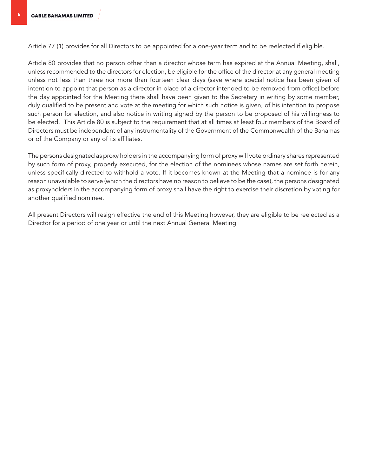Article 77 (1) provides for all Directors to be appointed for a one-year term and to be reelected if eligible.

Article 80 provides that no person other than a director whose term has expired at the Annual Meeting, shall, unless recommended to the directors for election, be eligible for the office of the director at any general meeting unless not less than three nor more than fourteen clear days (save where special notice has been given of intention to appoint that person as a director in place of a director intended to be removed from office) before the day appointed for the Meeting there shall have been given to the Secretary in writing by some member, duly qualified to be present and vote at the meeting for which such notice is given, of his intention to propose such person for election, and also notice in writing signed by the person to be proposed of his willingness to be elected. This Article 80 is subject to the requirement that at all times at least four members of the Board of Directors must be independent of any instrumentality of the Government of the Commonwealth of the Bahamas or of the Company or any of its affiliates.

The persons designated as proxy holders in the accompanying form of proxy will vote ordinary shares represented by such form of proxy, properly executed, for the election of the nominees whose names are set forth herein, unless specifically directed to withhold a vote. If it becomes known at the Meeting that a nominee is for any reason unavailable to serve (which the directors have no reason to believe to be the case), the persons designated as proxyholders in the accompanying form of proxy shall have the right to exercise their discretion by voting for another qualified nominee.

All present Directors will resign effective the end of this Meeting however, they are eligible to be reelected as a Director for a period of one year or until the next Annual General Meeting.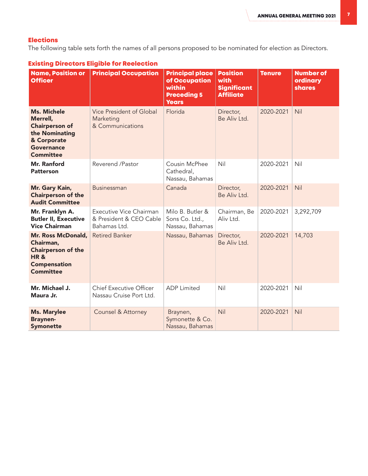# Elections

The following table sets forth the names of all persons proposed to be nominated for election as Directors.

| <b>Name, Position or</b><br><b>Officer</b>                                                                                        | <b>Principal Occupation</b>                                               | <b>Principal place</b><br>of Occupation<br>within<br><b>Preceding 5</b><br><b>Years</b> | <b>Position</b><br>with<br><b>Significant</b><br><b>Affiliate</b> | <b>Tenure</b> | <b>Number of</b><br>ordinary<br><b>shares</b> |
|-----------------------------------------------------------------------------------------------------------------------------------|---------------------------------------------------------------------------|-----------------------------------------------------------------------------------------|-------------------------------------------------------------------|---------------|-----------------------------------------------|
| <b>Ms. Michele</b><br>Merrell,<br><b>Chairperson of</b><br>the Nominating<br>& Corporate<br><b>Governance</b><br><b>Committee</b> | Vice President of Global<br>Marketing<br>& Communications                 | Florida                                                                                 | Director,<br>Be Aliv Ltd.                                         | 2020-2021     | Nil                                           |
| <b>Mr. Ranford</b><br><b>Patterson</b>                                                                                            | Reverend /Pastor                                                          | Cousin McPhee<br>Cathedral,<br>Nassau, Bahamas                                          | Nil                                                               | 2020-2021     | Nil                                           |
| Mr. Gary Kain,<br><b>Chairperson of the</b><br><b>Audit Committee</b>                                                             | Businessman                                                               | Canada                                                                                  | Director,<br>Be Aliv Ltd.                                         | 2020-2021     | Nil                                           |
| Mr. Franklyn A.<br><b>Butler II, Executive</b><br><b>Vice Chairman</b>                                                            | <b>Executive Vice Chairman</b><br>& President & CEO Cable<br>Bahamas Ltd. | Milo B. Butler &<br>Sons Co. Ltd.,<br>Nassau, Bahamas                                   | Chairman, Be<br>Aliv Ltd.                                         | 2020-2021     | 3,292,709                                     |
| Mr. Ross McDonald,<br>Chairman,<br><b>Chairperson of the</b><br><b>HR&amp;</b><br><b>Compensation</b><br><b>Committee</b>         | <b>Retired Banker</b>                                                     | Nassau, Bahamas                                                                         | Director,<br>Be Aliv Ltd.                                         | 2020-2021     | 14,703                                        |
| Mr. Michael J.<br>Maura Jr.                                                                                                       | <b>Chief Executive Officer</b><br>Nassau Cruise Port Ltd.                 | <b>ADP</b> Limited                                                                      | Nil                                                               | 2020-2021     | Nil                                           |
| <b>Ms. Marylee</b><br><b>Braynen-</b><br><b>Symonette</b>                                                                         | <b>Counsel &amp; Attorney</b>                                             | Braynen,<br>Symonette & Co.<br>Nassau, Bahamas                                          | Nil                                                               | 2020-2021     | Nil                                           |

# Existing Directors Eligible for Reelection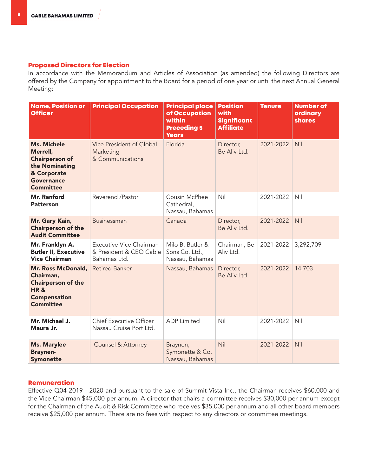#### Proposed Directors for Election

In accordance with the Memorandum and Articles of Association (as amended) the following Directors are offered by the Company for appointment to the Board for a period of one year or until the next Annual General Meeting:

| <b>Name, Position or</b><br><b>Officer</b>                                                                                        | <b>Principal Occupation</b>                                        | <b>Principal place</b><br>of Occupation<br>within<br><b>Preceding 5</b><br><b>Years</b> | <b>Position</b><br>with<br><b>Significant</b><br><b>Affiliate</b> | <b>Tenure</b> | <b>Number of</b><br>ordinary<br><b>shares</b> |
|-----------------------------------------------------------------------------------------------------------------------------------|--------------------------------------------------------------------|-----------------------------------------------------------------------------------------|-------------------------------------------------------------------|---------------|-----------------------------------------------|
| <b>Ms. Michele</b><br>Merrell,<br><b>Chairperson of</b><br>the Nominating<br>& Corporate<br><b>Governance</b><br><b>Committee</b> | Vice President of Global<br>Marketing<br>& Communications          | Florida                                                                                 | Director,<br>Be Aliv Ltd.                                         | 2021-2022     | Nil                                           |
| <b>Mr. Ranford</b><br><b>Patterson</b>                                                                                            | Reverend /Pastor                                                   | Cousin McPhee<br>Cathedral,<br>Nassau, Bahamas                                          | Nil                                                               | 2021-2022     | Nil                                           |
| Mr. Gary Kain,<br><b>Chairperson of the</b><br><b>Audit Committee</b>                                                             | <b>Businessman</b>                                                 | Canada                                                                                  | Director,<br>Be Aliv I td.                                        | 2021-2022     | Nil                                           |
| Mr. Franklyn A.<br><b>Butler II, Executive</b><br><b>Vice Chairman</b>                                                            | Executive Vice Chairman<br>& President & CEO Cable<br>Bahamas Ltd. | Milo B. Butler &<br>Sons Co. Ltd.,<br>Nassau, Bahamas                                   | Chairman, Be<br>Aliv Ltd.                                         | 2021-2022     | 3,292,709                                     |
| Mr. Ross McDonald,<br>Chairman,<br><b>Chairperson of the</b><br><b>HR&amp;</b><br><b>Compensation</b><br><b>Committee</b>         | <b>Retired Banker</b>                                              | Nassau, Bahamas                                                                         | Director,<br>Be Aliv Ltd.                                         | 2021-2022     | 14,703                                        |
| Mr. Michael J.<br>Maura Jr.                                                                                                       | <b>Chief Executive Officer</b><br>Nassau Cruise Port Ltd.          | <b>ADP</b> Limited                                                                      | Nil                                                               | 2021-2022     | Nil                                           |
| <b>Ms. Marylee</b><br><b>Braynen-</b><br><b>Symonette</b>                                                                         | <b>Counsel &amp; Attorney</b>                                      | Braynen,<br>Symonette & Co.<br>Nassau, Bahamas                                          | Nil                                                               | 2021-2022     | Nil                                           |

#### Remuneration

Effective Q04 2019 - 2020 and pursuant to the sale of Summit Vista Inc., the Chairman receives \$60,000 and the Vice Chairman \$45,000 per annum. A director that chairs a committee receives \$30,000 per annum except for the Chairman of the Audit & Risk Committee who receives \$35,000 per annum and all other board members receive \$25,000 per annum. There are no fees with respect to any directors or committee meetings.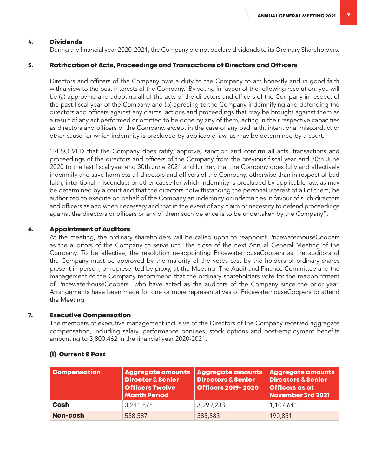#### 4. Dividends

During the financial year 2020-2021, the Company did not declare dividends to its Ordinary Shareholders.

#### 5. Ratification of Acts, Proceedings and Transactions of Directors and Officers

Directors and officers of the Company owe a duty to the Company to act honestly and in good faith with a view to the best interests of the Company. By voting in favour of the following resolution, you will be (a) approving and adopting all of the acts of the directors and officers of the Company in respect of the past fiscal year of the Company and (b) agreeing to the Company indemnifying and defending the directors and officers against any claims, actions and proceedings that may be brought against them as a result of any act performed or omitted to be done by any of them, acting in their respective capacities as directors and officers of the Company, except in the case of any bad faith, intentional misconduct or other cause for which indemnity is precluded by applicable law, as may be determined by a court.

"RESOLVED that the Company does ratify, approve, sanction and confirm all acts, transactions and proceedings of the directors and officers of the Company from the previous fiscal year end 30th June 2020 to the last fiscal year end 30th June 2021 and further, that the Company does fully and effectively indemnify and save harmless all directors and officers of the Company, otherwise than in respect of bad faith, intentional misconduct or other cause for which indemnity is precluded by applicable law, as may be determined by a court and that the directors notwithstanding the personal interest of all of them, be authorized to execute on behalf of the Company an indemnity or indemnities in favour of such directors and officers as and when necessary and that in the event of any claim or necessity to defend proceedings against the directors or officers or any of them such defence is to be undertaken by the Company".

#### 6. Appointment of Auditors

At the meeting, the ordinary shareholders will be called upon to reappoint PricewaterhouseCoopers as the auditors of the Company to serve until the close of the next Annual General Meeting of the Company. To be effective, the resolution re-appointing PricewaterhouseCoopers as the auditors of the Company must be approved by the majority of the votes cast by the holders of ordinary shares present in person, or represented by proxy, at the Meeting. The Audit and Finance Committee and the management of the Company recommend that the ordinary shareholders vote for the reappointment of PricewaterhouseCoopers who have acted as the auditors of the Company since the prior year. Arrangements have been made for one or more representatives of PricewaterhouseCoopers to attend the Meeting.

#### 7. Executive Compensation

The members of executive management inclusive of the Directors of the Company received aggregate compensation, including salary, performance bonuses, stock options and post-employment benefits amounting to 3,800,462 in the financial year 2020-2021.

| <b>Compensation</b> | <b>Aggregate amounts</b><br><b>Director &amp; Senior</b><br><b>Officers Twelve</b><br><b>Month Period</b> | Aggregate amounts<br><b>Directors &amp; Senior</b><br><b>Officers 2019-2020</b> | <b>Aggregate amounts</b><br><b>Directors &amp; Senior</b><br><b>Officers as at</b><br>November 3rd 2021 |
|---------------------|-----------------------------------------------------------------------------------------------------------|---------------------------------------------------------------------------------|---------------------------------------------------------------------------------------------------------|
| Cash                | 3,241,875                                                                                                 | 3,299,233                                                                       | 1,107,641                                                                                               |
| <b>Non-cash</b>     | 558,587                                                                                                   | 585,583                                                                         | 190,851                                                                                                 |

#### (i) Current & Past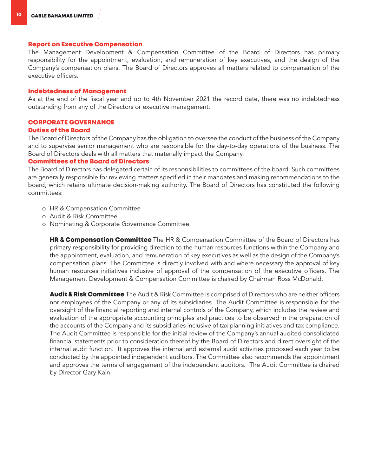#### Report on Executive Compensation

The Management Development & Compensation Committee of the Board of Directors has primary responsibility for the appointment, evaluation, and remuneration of key executives, and the design of the Company's compensation plans. The Board of Directors approves all matters related to compensation of the executive officers.

#### Indebtedness of Management

As at the end of the fiscal year and up to 4th November 2021 the record date, there was no indebtedness outstanding from any of the Directors or executive management.

# CORPORATE GOVERNANCE

#### Duties of the Board

The Board of Directors of the Company has the obligation to oversee the conduct of the business of the Company and to supervise senior management who are responsible for the day-to-day operations of the business. The Board of Directors deals with all matters that materially impact the Company.

#### Committees of the Board of Directors

The Board of Directors has delegated certain of its responsibilities to committees of the board. Such committees are generally responsible for reviewing matters specified in their mandates and making recommendations to the board, which retains ultimate decision-making authority. The Board of Directors has constituted the following committees:

- o HR & Compensation Committee
- o Audit & Risk Committee
- o Nominating & Corporate Governance Committee

**HR & Compensation Committee** The HR & Compensation Committee of the Board of Directors has primary responsibility for providing direction to the human resources functions within the Company and the appointment, evaluation, and remuneration of key executives as well as the design of the Company's compensation plans. The Committee is directly involved with and where necessary the approval of key human resources initiatives inclusive of approval of the compensation of the executive officers. The Management Development & Compensation Committee is chaired by Chairman Ross McDonald.

**Audit & Risk Committee** The Audit & Risk Committee is comprised of Directors who are neither officers nor employees of the Company or any of its subsidiaries. The Audit Committee is responsible for the oversight of the financial reporting and internal controls of the Company, which includes the review and evaluation of the appropriate accounting principles and practices to be observed in the preparation of the accounts of the Company and its subsidiaries inclusive of tax planning initiatives and tax compliance. The Audit Committee is responsible for the initial review of the Company's annual audited consolidated financial statements prior to consideration thereof by the Board of Directors and direct oversight of the internal audit function. It approves the internal and external audit activities proposed each year to be conducted by the appointed independent auditors. The Committee also recommends the appointment and approves the terms of engagement of the independent auditors. The Audit Committee is chaired by Director Gary Kain.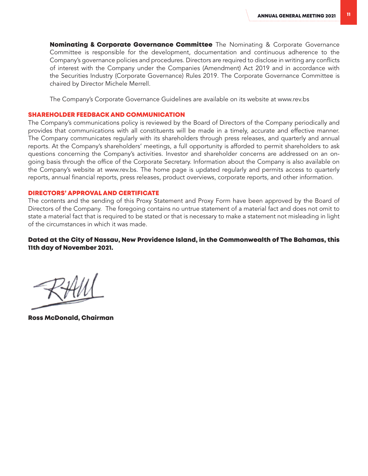**Nominating & Corporate Governance Committee** The Nominating & Corporate Governance Committee is responsible for the development, documentation and continuous adherence to the Company's governance policies and procedures. Directors are required to disclose in writing any conflicts of interest with the Company under the Companies (Amendment) Act 2019 and in accordance with the Securities Industry (Corporate Governance) Rules 2019. The Corporate Governance Committee is chaired by Director Michele Merrell.

The Company's Corporate Governance Guidelines are available on its website at www.rev.bs

#### SHAREHOLDER FEEDBACK AND COMMUNICATION

The Company's communications policy is reviewed by the Board of Directors of the Company periodically and provides that communications with all constituents will be made in a timely, accurate and effective manner. The Company communicates regularly with its shareholders through press releases, and quarterly and annual reports. At the Company's shareholders' meetings, a full opportunity is afforded to permit shareholders to ask questions concerning the Company's activities. Investor and shareholder concerns are addressed on an ongoing basis through the office of the Corporate Secretary. Information about the Company is also available on the Company's website at www.rev.bs. The home page is updated regularly and permits access to quarterly reports, annual financial reports, press releases, product overviews, corporate reports, and other information.

#### DIRECTORS' APPROVAL AND CERTIFICATE

The contents and the sending of this Proxy Statement and Proxy Form have been approved by the Board of Directors of the Company. The foregoing contains no untrue statement of a material fact and does not omit to state a material fact that is required to be stated or that is necessary to make a statement not misleading in light of the circumstances in which it was made.

# Dated at the City of Nassau, New Providence Island, in the Commonwealth of The Bahamas, this 11th day of November 2021.

Ross McDonald, Chairman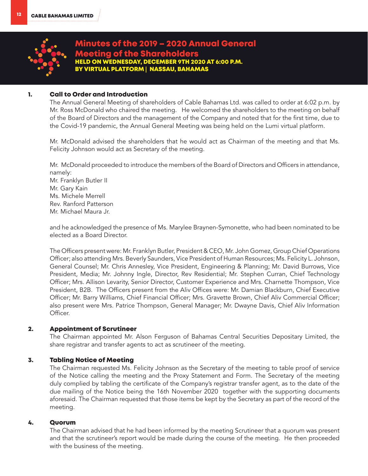

# Minutes of the 2019 – 2020 Annual General Meeting of the Shareholders HELD ON WEDNESDAY, DECEMBER 9TH 2020 AT 6:00 P.M. BY VIRTUAL PLATFORM **|** NASSAU, BAHAMAS

# 1. Call to Order and Introduction

The Annual General Meeting of shareholders of Cable Bahamas Ltd. was called to order at 6:02 p.m. by Mr. Ross McDonald who chaired the meeting. He welcomed the shareholders to the meeting on behalf of the Board of Directors and the management of the Company and noted that for the first time, due to the Covid-19 pandemic, the Annual General Meeting was being held on the Lumi virtual platform.

Mr. McDonald advised the shareholders that he would act as Chairman of the meeting and that Ms. Felicity Johnson would act as Secretary of the meeting.

Mr. McDonald proceeded to introduce the members of the Board of Directors and Officers in attendance, namely:

Mr. Franklyn Butler II Mr. Gary Kain Ms. Michele Merrell Rev. Ranford Patterson Mr. Michael Maura Jr.

and he acknowledged the presence of Ms. Marylee Braynen-Symonette, who had been nominated to be elected as a Board Director.

The Officers present were: Mr. Franklyn Butler, President & CEO, Mr. John Gomez, Group Chief Operations Officer; also attending Mrs. Beverly Saunders, Vice President of Human Resources; Ms. Felicity L. Johnson, General Counsel; Mr. Chris Annesley, Vice President, Engineering & Planning; Mr. David Burrows, Vice President, Media; Mr. Johnny Ingle, Director, Rev Residential; Mr. Stephen Curran, Chief Technology Officer; Mrs. Allison Levarity, Senior Director, Customer Experience and Mrs. Charnette Thompson, Vice President, B2B. The Officers present from the Aliv Offices were: Mr. Damian Blackburn, Chief Executive Officer; Mr. Barry Williams, Chief Financial Officer; Mrs. Gravette Brown, Chief Aliv Commercial Officer; also present were Mrs. Patrice Thompson, General Manager; Mr. Dwayne Davis, Chief Aliv Information Officer.

# 2. Appointment of Scrutineer

The Chairman appointed Mr. Alson Ferguson of Bahamas Central Securities Depositary Limited, the share registrar and transfer agents to act as scrutineer of the meeting.

# 3. Tabling Notice of Meeting

The Chairman requested Ms. Felicity Johnson as the Secretary of the meeting to table proof of service of the Notice calling the meeting and the Proxy Statement and Form. The Secretary of the meeting duly complied by tabling the certificate of the Company's registrar transfer agent, as to the date of the due mailing of the Notice being the 16th November 2020 together with the supporting documents aforesaid. The Chairman requested that those items be kept by the Secretary as part of the record of the meeting.

# 4. Quorum

The Chairman advised that he had been informed by the meeting Scrutineer that a quorum was present and that the scrutineer's report would be made during the course of the meeting. He then proceeded with the business of the meeting.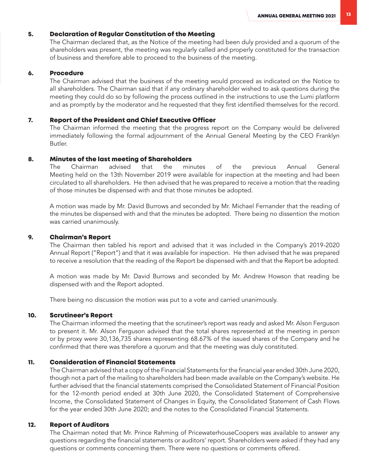# 5. Declaration of Regular Constitution of the Meeting

The Chairman declared that, as the Notice of the meeting had been duly provided and a quorum of the shareholders was present, the meeting was regularly called and properly constituted for the transaction of business and therefore able to proceed to the business of the meeting.

### 6. Procedure

The Chairman advised that the business of the meeting would proceed as indicated on the Notice to all shareholders. The Chairman said that if any ordinary shareholder wished to ask questions during the meeting they could do so by following the process outlined in the instructions to use the Lumi platform and as promptly by the moderator and he requested that they first identified themselves for the record.

### 7. Report of the President and Chief Executive Officer

The Chairman informed the meeting that the progress report on the Company would be delivered immediately following the formal adjournment of the Annual General Meeting by the CEO Franklyn Butler.

#### 8. Minutes of the last meeting of Shareholders

The Chairman advised that the minutes of the previous Annual General Meeting held on the 13th November 2019 were available for inspection at the meeting and had been circulated to all shareholders. He then advised that he was prepared to receive a motion that the reading of those minutes be dispensed with and that those minutes be adopted.

A motion was made by Mr. David Burrows and seconded by Mr. Michael Fernander that the reading of the minutes be dispensed with and that the minutes be adopted. There being no dissention the motion was carried unanimously.

#### 9. Chairman's Report

The Chairman then tabled his report and advised that it was included in the Company's 2019-2020 Annual Report ("Report") and that it was available for inspection. He then advised that he was prepared to receive a resolution that the reading of the Report be dispensed with and that the Report be adopted.

A motion was made by Mr. David Burrows and seconded by Mr. Andrew Howson that reading be dispensed with and the Report adopted.

There being no discussion the motion was put to a vote and carried unanimously.

#### 10. Scrutineer's Report

The Chairman informed the meeting that the scrutineer's report was ready and asked Mr. Alson Ferguson to present it. Mr. Alson Ferguson advised that the total shares represented at the meeting in person or by proxy were 30,136,735 shares representing 68.67% of the issued shares of the Company and he confirmed that there was therefore a quorum and that the meeting was duly constituted.

### 11. Consideration of Financial Statements

The Chairman advised that a copy of the Financial Statements for the financial year ended 30th June 2020, though not a part of the mailing to shareholders had been made available on the Company's website. He further advised that the financial statements comprised the Consolidated Statement of Financial Position for the 12-month period ended at 30th June 2020, the Consolidated Statement of Comprehensive Income, the Consolidated Statement of Changes in Equity, the Consolidated Statement of Cash Flows for the year ended 30th June 2020; and the notes to the Consolidated Financial Statements.

#### 12. Report of Auditors

The Chairman noted that Mr. Prince Rahming of PricewaterhouseCoopers was available to answer any questions regarding the financial statements or auditors' report. Shareholders were asked if they had any questions or comments concerning them. There were no questions or comments offered.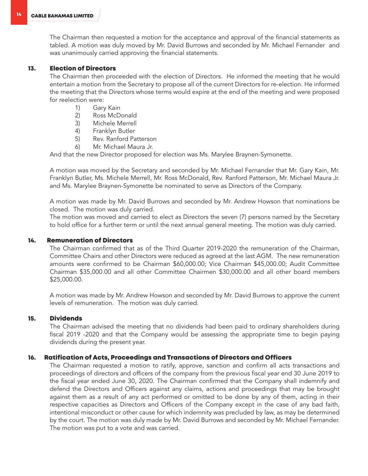The Chairman then requested a motion for the acceptance and approval of the financial statements as tabled. A motion was duly moved by Mr. David Burrows and seconded by Mr. Michael Fernander and was unanimously carried approving the financial statements.

# 13. Election of Directors

The Chairman then proceeded with the election of Directors. He informed the meeting that he would entertain a motion from the Secretary to propose all of the current Directors for re-election. He informed the meeting that the Directors whose terms would expire at the end of the meeting and were proposed for reelection were:

- 1) Gary Kain
- 2) Ross McDonald
- 3) Michele Merrell
- 4) Franklyn Butler
- 5) Rev. Ranford Patterson
- 6) Mr. Michael Maura Jr.

And that the new Director proposed for election was Ms. Marylee Braynen-Symonette.

A motion was moved by the Secretary and seconded by Mr. Michael Fernander that Mr. Gary Kain, Mr. Franklyn Butler, Ms. Michele Merrell, Mr. Ross McDonald, Rev. Ranford Patterson, Mr. Michael Maura Jr. and Ms. Marylee Braynen-Symonette be nominated to serve as Directors of the Company.

A motion was made by Mr. David Burrows and seconded by Mr. Andrew Howson that nominations be closed. The motion was duly carried.

The motion was moved and carried to elect as Directors the seven (7) persons named by the Secretary to hold office for a further term or until the next annual general meeting. The motion was duly carried.

### 14. Remuneration of Directors

The Chairman confirmed that as of the Third Quarter 2019-2020 the remuneration of the Chairman, Committee Chairs and other Directors were reduced as agreed at the last AGM. The new remuneration amounts were confirmed to be Chairman \$60,000.00; Vice Chairman \$45,000.00; Audit Committee Chairman \$35,000.00 and all other Committee Chairmen \$30,000.00 and all other board members \$25,000.00.

A motion was made by Mr. Andrew Howson and seconded by Mr. David Burrows to approve the current levels of remuneration. The motion was duly carried.

# 15. Dividends

The Chairman advised the meeting that no dividends had been paid to ordinary shareholders during fiscal 2019 -2020 and that the Company would be assessing the appropriate time to begin paying dividends during the present year.

# 16. Ratification of Acts, Proceedings and Transactions of Directors and Officers

The Chairman requested a motion to ratify, approve, sanction and confirm all acts transactions and proceedings of directors and officers of the company from the previous fiscal year end 30 June 2019 to the fiscal year ended June 30, 2020. The Chairman confirmed that the Company shall indemnify and defend the Directors and Officers against any claims, actions and proceedings that may be brought against them as a result of any act performed or omitted to be done by any of them, acting in their respective capacities as Directors and Officers of the Company except in the case of any bad faith, intentional misconduct or other cause for which indemnity was precluded by law, as may be determined by the court. The motion was duly made by Mr. David Burrows and seconded by Mr. Michael Fernander. The motion was put to a vote and was carried.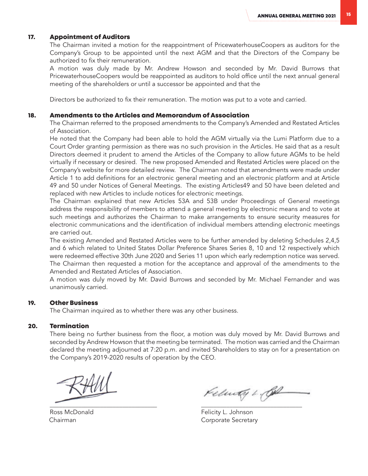# 17. Appointment of Auditors

The Chairman invited a motion for the reappointment of PricewaterhouseCoopers as auditors for the Company's Group to be appointed until the next AGM and that the Directors of the Company be authorized to fix their remuneration.

A motion was duly made by Mr. Andrew Howson and seconded by Mr. David Burrows that PricewaterhouseCoopers would be reappointed as auditors to hold office until the next annual general meeting of the shareholders or until a successor be appointed and that the

Directors be authorized to fix their remuneration. The motion was put to a vote and carried.

#### 18. Amendments to the Articles and Memorandum of Association

The Chairman referred to the proposed amendments to the Company's Amended and Restated Articles of Association.

He noted that the Company had been able to hold the AGM virtually via the Lumi Platform due to a Court Order granting permission as there was no such provision in the Articles. He said that as a result Directors deemed it prudent to amend the Articles of the Company to allow future AGMs to be held virtually if necessary or desired. The new proposed Amended and Restated Articles were placed on the Company's website for more detailed review. The Chairman noted that amendments were made under Article 1 to add definitions for an electronic general meeting and an electronic platform and at Article 49 and 50 under Notices of General Meetings. The existing Articles49 and 50 have been deleted and replaced with new Articles to include notices for electronic meetings.

The Chairman explained that new Articles 53A and 53B under Proceedings of General meetings address the responsibility of members to attend a general meeting by electronic means and to vote at such meetings and authorizes the Chairman to make arrangements to ensure security measures for electronic communications and the identification of individual members attending electronic meetings are carried out.

The existing Amended and Restated Articles were to be further amended by deleting Schedules 2,4,5 and 6 which related to United States Dollar Preference Shares Series 8, 10 and 12 respectively which were redeemed effective 30th June 2020 and Series 11 upon which early redemption notice was served. The Chairman then requested a motion for the acceptance and approval of the amendments to the Amended and Restated Articles of Association.

A motion was duly moved by Mr. David Burrows and seconded by Mr. Michael Fernander and was unanimously carried.

#### 19. Other Business

The Chairman inquired as to whether there was any other business.

#### 20. Termination

There being no further business from the floor, a motion was duly moved by Mr. David Burrows and seconded by Andrew Howson that the meeting be terminated. The motion was carried and the Chairman declared the meeting adjourned at 7:20 p.m. and invited Shareholders to stay on for a presentation on the Company's 2019-2020 results of operation by the CEO.

 $\overline{\phantom{a}}$  ,  $\overline{\phantom{a}}$  ,  $\overline{\phantom{a}}$  ,  $\overline{\phantom{a}}$  ,  $\overline{\phantom{a}}$  ,  $\overline{\phantom{a}}$  ,  $\overline{\phantom{a}}$  ,  $\overline{\phantom{a}}$  ,  $\overline{\phantom{a}}$  ,  $\overline{\phantom{a}}$  ,  $\overline{\phantom{a}}$  ,  $\overline{\phantom{a}}$  ,  $\overline{\phantom{a}}$  ,  $\overline{\phantom{a}}$  ,  $\overline{\phantom{a}}$  ,  $\overline{\phantom{a}}$ 

Kelmay 1. Col

Ross McDonald Felicity L. Johnson Chairman Corporate Secretary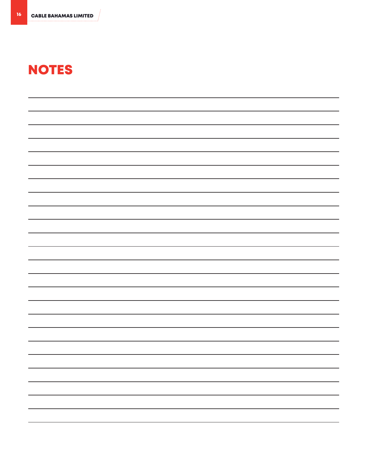# NOTES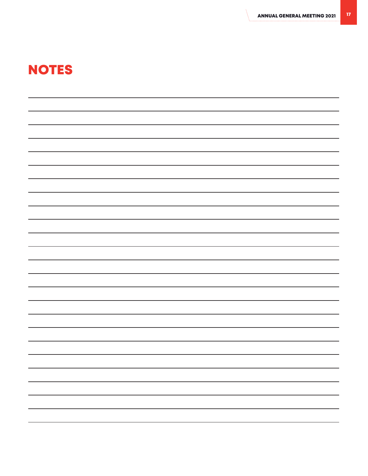# NOTES